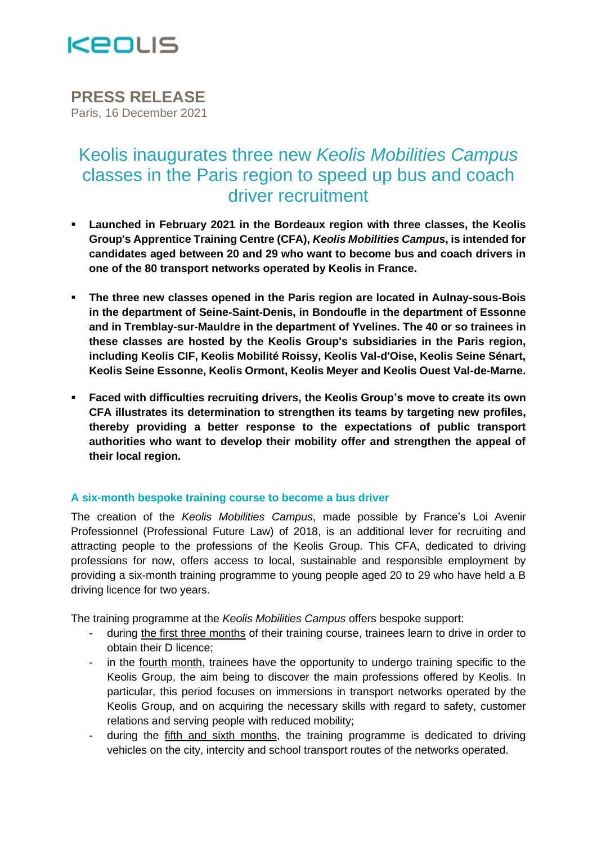

**PRESS RELEASE** Paris, 16 December 2021

# Keolis inaugurates three new *Keolis Mobilities Campus* classes in the Paris region to speed up bus and coach driver recruitment

- **Launched in February 2021 in the Bordeaux region with three classes, the Keolis Group's Apprentice Training Centre (CFA),** *Keolis Mobilities Campus***, is intended for candidates aged between 20 and 29 who want to become bus and coach drivers in one of the 80 transport networks operated by Keolis in France.**
- **The three new classes opened in the Paris region are located in Aulnay-sous-Bois in the department of Seine-Saint-Denis, in Bondoufle in the department of Essonne and in Tremblay-sur-Mauldre in the department of Yvelines. The 40 or so trainees in these classes are hosted by the Keolis Group's subsidiaries in the Paris region, including Keolis CIF, Keolis Mobilité Roissy, Keolis Val-d'Oise, Keolis Seine Sénart, Keolis Seine Essonne, Keolis Ormont, Keolis Meyer and Keolis Ouest Val-de-Marne.**
- **Faced with difficulties recruiting drivers, the Keolis Group's move to create its own CFA illustrates its determination to strengthen its teams by targeting new profiles, thereby providing a better response to the expectations of public transport authorities who want to develop their mobility offer and strengthen the appeal of their local region.**

## **A six-month bespoke training course to become a bus driver**

The creation of the *Keolis Mobilities Campus*, made possible by France's Loi Avenir Professionnel (Professional Future Law) of 2018, is an additional lever for recruiting and attracting people to the professions of the Keolis Group. This CFA, dedicated to driving professions for now, offers access to local, sustainable and responsible employment by providing a six-month training programme to young people aged 20 to 29 who have held a B driving licence for two years.

The training programme at the *Keolis Mobilities Campus* offers bespoke support:

- during the first three months of their training course, trainees learn to drive in order to obtain their D licence;
- in the fourth month, trainees have the opportunity to undergo training specific to the Keolis Group, the aim being to discover the main professions offered by Keolis. In particular, this period focuses on immersions in transport networks operated by the Keolis Group, and on acquiring the necessary skills with regard to safety, customer relations and serving people with reduced mobility;
- during the fifth and sixth months, the training programme is dedicated to driving vehicles on the city, intercity and school transport routes of the networks operated.